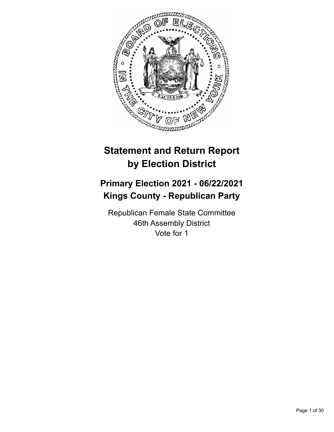

# **Statement and Return Report by Election District**

# **Primary Election 2021 - 06/22/2021 Kings County - Republican Party**

Republican Female State Committee 46th Assembly District Vote for 1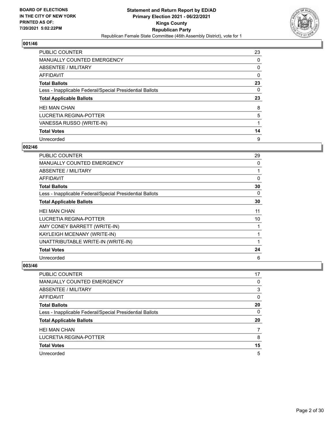

| <b>PUBLIC COUNTER</b>                                    | 23 |
|----------------------------------------------------------|----|
| MANUALLY COUNTED EMERGENCY                               | 0  |
| ABSENTEE / MILITARY                                      | 0  |
| AFFIDAVIT                                                | 0  |
| <b>Total Ballots</b>                                     | 23 |
| Less - Inapplicable Federal/Special Presidential Ballots | 0  |
| <b>Total Applicable Ballots</b>                          | 23 |
| <b>HEI MAN CHAN</b>                                      | 8  |
| LUCRETIA REGINA-POTTER                                   | 5  |
| VANESSA RUSSO (WRITE-IN)                                 |    |
| <b>Total Votes</b>                                       | 14 |
| Unrecorded                                               | 9  |

#### **002/46**

| <b>PUBLIC COUNTER</b>                                    | 29       |
|----------------------------------------------------------|----------|
| <b>MANUALLY COUNTED EMERGENCY</b>                        | 0        |
| ABSENTEE / MILITARY                                      |          |
| AFFIDAVIT                                                | $\Omega$ |
| <b>Total Ballots</b>                                     | 30       |
| Less - Inapplicable Federal/Special Presidential Ballots | 0        |
| <b>Total Applicable Ballots</b>                          | 30       |
| <b>HEI MAN CHAN</b>                                      | 11       |
| <b>LUCRETIA REGINA-POTTER</b>                            | 10       |
| AMY CONEY BARRETT (WRITE-IN)                             |          |
| KAYLEIGH MCENANY (WRITE-IN)                              |          |
| UNATTRIBUTABLE WRITE-IN (WRITE-IN)                       |          |
| <b>Total Votes</b>                                       | 24       |
| Unrecorded                                               | 6        |

| <b>PUBLIC COUNTER</b>                                    | 17 |
|----------------------------------------------------------|----|
| <b>MANUALLY COUNTED EMERGENCY</b>                        | 0  |
| ABSENTEE / MILITARY                                      | 3  |
| AFFIDAVIT                                                | 0  |
| <b>Total Ballots</b>                                     | 20 |
| Less - Inapplicable Federal/Special Presidential Ballots | 0  |
| <b>Total Applicable Ballots</b>                          | 20 |
| <b>HEI MAN CHAN</b>                                      |    |
| <b>LUCRETIA REGINA-POTTER</b>                            | 8  |
| <b>Total Votes</b>                                       | 15 |
| Unrecorded                                               | 5  |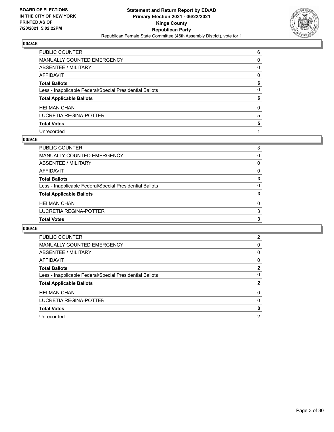

| PUBLIC COUNTER                                           | 6        |
|----------------------------------------------------------|----------|
| <b>MANUALLY COUNTED EMERGENCY</b>                        | 0        |
| ABSENTEE / MILITARY                                      | $\Omega$ |
| <b>AFFIDAVIT</b>                                         | $\Omega$ |
| <b>Total Ballots</b>                                     | 6        |
| Less - Inapplicable Federal/Special Presidential Ballots | $\Omega$ |
| <b>Total Applicable Ballots</b>                          | 6        |
| <b>HEI MAN CHAN</b>                                      | $\Omega$ |
| <b>LUCRETIA REGINA-POTTER</b>                            | 5        |
| <b>Total Votes</b>                                       | 5        |
| Unrecorded                                               |          |

#### **005/46**

| <b>PUBLIC COUNTER</b>                                    | 3 |
|----------------------------------------------------------|---|
| <b>MANUALLY COUNTED EMERGENCY</b>                        | 0 |
| <b>ABSENTEE / MILITARY</b>                               | 0 |
| AFFIDAVIT                                                | 0 |
| <b>Total Ballots</b>                                     | з |
| Less - Inapplicable Federal/Special Presidential Ballots | 0 |
| <b>Total Applicable Ballots</b>                          | 3 |
| <b>HEI MAN CHAN</b>                                      | 0 |
| LUCRETIA REGINA-POTTER                                   | 3 |
| <b>Total Votes</b>                                       | 3 |
|                                                          |   |

| <b>PUBLIC COUNTER</b>                                    | 2            |
|----------------------------------------------------------|--------------|
| <b>MANUALLY COUNTED EMERGENCY</b>                        | 0            |
| ABSENTEE / MILITARY                                      | 0            |
| AFFIDAVIT                                                | 0            |
| <b>Total Ballots</b>                                     | $\mathbf{2}$ |
| Less - Inapplicable Federal/Special Presidential Ballots | 0            |
| <b>Total Applicable Ballots</b>                          | 2            |
| <b>HEI MAN CHAN</b>                                      | $\Omega$     |
| <b>LUCRETIA REGINA-POTTER</b>                            | 0            |
| <b>Total Votes</b>                                       | 0            |
| Unrecorded                                               | 2            |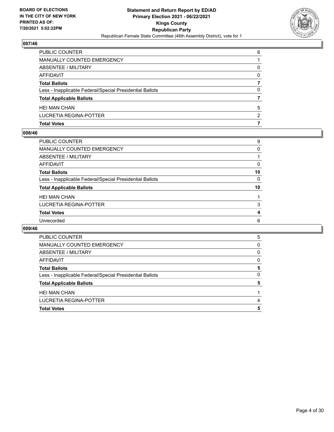

| <b>Total Votes</b>                                       |   |
|----------------------------------------------------------|---|
| LUCRETIA REGINA-POTTER                                   | 2 |
| <b>HEI MAN CHAN</b>                                      | 5 |
| <b>Total Applicable Ballots</b>                          |   |
| Less - Inapplicable Federal/Special Presidential Ballots | 0 |
| <b>Total Ballots</b>                                     |   |
| AFFIDAVIT                                                | 0 |
| <b>ABSENTEE / MILITARY</b>                               | 0 |
| MANUALLY COUNTED EMERGENCY                               |   |
| <b>PUBLIC COUNTER</b>                                    | 6 |

#### **008/46**

| PUBLIC COUNTER                                           | 9        |
|----------------------------------------------------------|----------|
| <b>MANUALLY COUNTED EMERGENCY</b>                        | 0        |
| ABSENTEE / MILITARY                                      |          |
| <b>AFFIDAVIT</b>                                         | 0        |
| <b>Total Ballots</b>                                     | 10       |
| Less - Inapplicable Federal/Special Presidential Ballots | $\Omega$ |
| <b>Total Applicable Ballots</b>                          | 10       |
| <b>HEI MAN CHAN</b>                                      |          |
| <b>LUCRETIA REGINA-POTTER</b>                            | 3        |
| <b>Total Votes</b>                                       | 4        |
| Unrecorded                                               | 6        |

| <b>PUBLIC COUNTER</b>                                    | 5        |
|----------------------------------------------------------|----------|
| MANUALLY COUNTED EMERGENCY                               | 0        |
| ABSENTEE / MILITARY                                      | $\Omega$ |
| AFFIDAVIT                                                | 0        |
| <b>Total Ballots</b>                                     | 5        |
| Less - Inapplicable Federal/Special Presidential Ballots | 0        |
| <b>Total Applicable Ballots</b>                          | 5        |
| <b>HEI MAN CHAN</b>                                      |          |
| LUCRETIA REGINA-POTTER                                   | 4        |
| <b>Total Votes</b>                                       | 5        |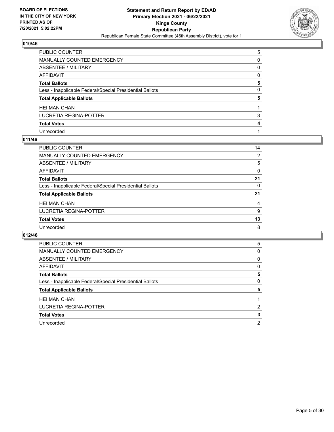

| PUBLIC COUNTER                                           | 5        |
|----------------------------------------------------------|----------|
| MANUALLY COUNTED EMERGENCY                               | $\Omega$ |
| ABSENTEE / MILITARY                                      | $\Omega$ |
| <b>AFFIDAVIT</b>                                         | $\Omega$ |
| <b>Total Ballots</b>                                     | 5        |
| Less - Inapplicable Federal/Special Presidential Ballots | $\Omega$ |
| <b>Total Applicable Ballots</b>                          | 5        |
| <b>HEI MAN CHAN</b>                                      |          |
| LUCRETIA REGINA-POTTER                                   | 3        |
| <b>Total Votes</b>                                       | 4        |
| Unrecorded                                               |          |

#### **011/46**

| PUBLIC COUNTER                                           | 14       |
|----------------------------------------------------------|----------|
| <b>MANUALLY COUNTED EMERGENCY</b>                        | 2        |
| ABSENTEE / MILITARY                                      | 5        |
| AFFIDAVIT                                                | $\Omega$ |
| <b>Total Ballots</b>                                     | 21       |
| Less - Inapplicable Federal/Special Presidential Ballots | $\Omega$ |
| <b>Total Applicable Ballots</b>                          | 21       |
| <b>HEI MAN CHAN</b>                                      | 4        |
| <b>LUCRETIA REGINA-POTTER</b>                            | 9        |
| <b>Total Votes</b>                                       | 13       |
| Unrecorded                                               | 8        |

| PUBLIC COUNTER                                           | 5 |
|----------------------------------------------------------|---|
| <b>MANUALLY COUNTED EMERGENCY</b>                        | 0 |
| ABSENTEE / MILITARY                                      | 0 |
| AFFIDAVIT                                                | 0 |
| <b>Total Ballots</b>                                     | 5 |
| Less - Inapplicable Federal/Special Presidential Ballots | 0 |
| <b>Total Applicable Ballots</b>                          | 5 |
|                                                          |   |
| <b>HEI MAN CHAN</b>                                      |   |
| LUCRETIA REGINA-POTTER                                   | 2 |
| <b>Total Votes</b>                                       | 3 |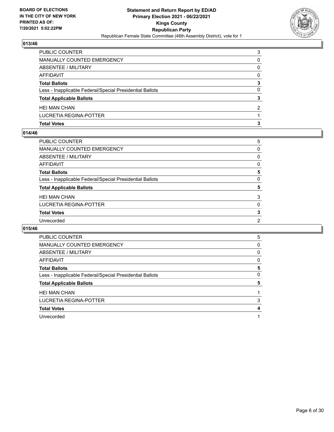

| <b>Total Votes</b>                                       | 3             |
|----------------------------------------------------------|---------------|
| LUCRETIA REGINA-POTTER                                   |               |
| <b>HEI MAN CHAN</b>                                      | $\mathcal{P}$ |
| <b>Total Applicable Ballots</b>                          | 3             |
| Less - Inapplicable Federal/Special Presidential Ballots | 0             |
| <b>Total Ballots</b>                                     | 3             |
| AFFIDAVIT                                                | 0             |
| <b>ABSENTEE / MILITARY</b>                               | 0             |
| MANUALLY COUNTED EMERGENCY                               | 0             |
| PUBLIC COUNTER                                           | 3             |

#### **014/46**

| PUBLIC COUNTER                                           | 5              |
|----------------------------------------------------------|----------------|
| <b>MANUALLY COUNTED EMERGENCY</b>                        | $\Omega$       |
| <b>ABSENTEE / MILITARY</b>                               | 0              |
| <b>AFFIDAVIT</b>                                         | 0              |
| <b>Total Ballots</b>                                     | 5              |
| Less - Inapplicable Federal/Special Presidential Ballots | $\Omega$       |
| <b>Total Applicable Ballots</b>                          | 5              |
| <b>HEI MAN CHAN</b>                                      | 3              |
| <b>LUCRETIA REGINA-POTTER</b>                            | $\Omega$       |
| <b>Total Votes</b>                                       | 3              |
| Unrecorded                                               | $\overline{2}$ |
|                                                          |                |

| <b>PUBLIC COUNTER</b>                                    | 5 |
|----------------------------------------------------------|---|
| <b>MANUALLY COUNTED EMERGENCY</b>                        | 0 |
| ABSENTEE / MILITARY                                      | 0 |
| <b>AFFIDAVIT</b>                                         | 0 |
| <b>Total Ballots</b>                                     | 5 |
| Less - Inapplicable Federal/Special Presidential Ballots | 0 |
| <b>Total Applicable Ballots</b>                          | 5 |
|                                                          |   |
| <b>HEI MAN CHAN</b>                                      |   |
| LUCRETIA REGINA-POTTER                                   | 3 |
| <b>Total Votes</b>                                       | 4 |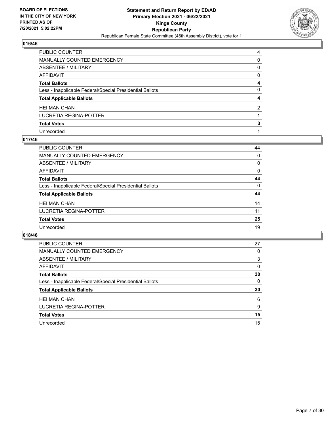

| PUBLIC COUNTER                                           | 4        |
|----------------------------------------------------------|----------|
| <b>MANUALLY COUNTED EMERGENCY</b>                        | 0        |
| ABSENTEE / MILITARY                                      | $\Omega$ |
| <b>AFFIDAVIT</b>                                         | $\Omega$ |
| <b>Total Ballots</b>                                     | 4        |
| Less - Inapplicable Federal/Special Presidential Ballots | $\Omega$ |
| <b>Total Applicable Ballots</b>                          | 4        |
| <b>HEI MAN CHAN</b>                                      | 2        |
| <b>LUCRETIA REGINA-POTTER</b>                            |          |
| <b>Total Votes</b>                                       | 3        |
| Unrecorded                                               |          |

#### **017/46**

| <b>PUBLIC COUNTER</b>                                    | 44       |
|----------------------------------------------------------|----------|
| <b>MANUALLY COUNTED EMERGENCY</b>                        | $\Omega$ |
| ABSENTEE / MILITARY                                      | $\Omega$ |
| AFFIDAVIT                                                | 0        |
| <b>Total Ballots</b>                                     | 44       |
| Less - Inapplicable Federal/Special Presidential Ballots | $\Omega$ |
| <b>Total Applicable Ballots</b>                          | 44       |
| <b>HEI MAN CHAN</b>                                      | 14       |
| LUCRETIA REGINA-POTTER                                   | 11       |
| <b>Total Votes</b>                                       | 25       |
| Unrecorded                                               | 19       |

| PUBLIC COUNTER                                           | 27       |
|----------------------------------------------------------|----------|
| <b>MANUALLY COUNTED EMERGENCY</b>                        | 0        |
| ABSENTEE / MILITARY                                      | 3        |
| AFFIDAVIT                                                | $\Omega$ |
| <b>Total Ballots</b>                                     | 30       |
| Less - Inapplicable Federal/Special Presidential Ballots | $\Omega$ |
| <b>Total Applicable Ballots</b>                          | 30       |
| <b>HEI MAN CHAN</b>                                      | 6        |
|                                                          |          |
| LUCRETIA REGINA-POTTER                                   | 9        |
| <b>Total Votes</b>                                       | 15       |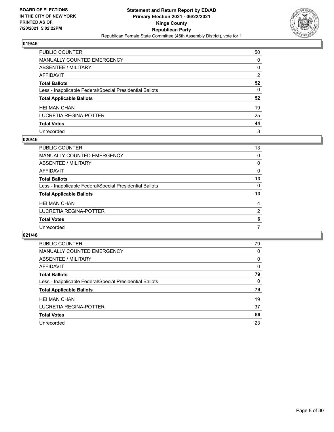

| PUBLIC COUNTER                                           | 50       |
|----------------------------------------------------------|----------|
| MANUALLY COUNTED EMERGENCY                               | $\Omega$ |
| <b>ABSENTEE / MILITARY</b>                               | $\Omega$ |
| <b>AFFIDAVIT</b>                                         | 2        |
| <b>Total Ballots</b>                                     | 52       |
| Less - Inapplicable Federal/Special Presidential Ballots | 0        |
| <b>Total Applicable Ballots</b>                          | 52       |
| <b>HEI MAN CHAN</b>                                      | 19       |
| <b>LUCRETIA REGINA-POTTER</b>                            | 25       |
| <b>Total Votes</b>                                       | 44       |
| Unrecorded                                               | 8        |

#### **020/46**

| <b>PUBLIC COUNTER</b>                                    | 13       |
|----------------------------------------------------------|----------|
| <b>MANUALLY COUNTED EMERGENCY</b>                        | 0        |
| ABSENTEE / MILITARY                                      | 0        |
| AFFIDAVIT                                                | $\Omega$ |
| <b>Total Ballots</b>                                     | 13       |
| Less - Inapplicable Federal/Special Presidential Ballots | 0        |
| <b>Total Applicable Ballots</b>                          | 13       |
| <b>HEI MAN CHAN</b>                                      | 4        |
| LUCRETIA REGINA-POTTER                                   | 2        |
| <b>Total Votes</b>                                       | 6        |
| Unrecorded                                               |          |
|                                                          |          |

| PUBLIC COUNTER                                           | 79       |
|----------------------------------------------------------|----------|
| <b>MANUALLY COUNTED EMERGENCY</b>                        | 0        |
| <b>ABSENTEE / MILITARY</b>                               | 0        |
| AFFIDAVIT                                                | $\Omega$ |
| <b>Total Ballots</b>                                     | 79       |
| Less - Inapplicable Federal/Special Presidential Ballots | $\Omega$ |
| <b>Total Applicable Ballots</b>                          | 79       |
| <b>HEI MAN CHAN</b>                                      | 19       |
| LUCRETIA REGINA-POTTER                                   | 37       |
| <b>Total Votes</b>                                       | 56       |
| Unrecorded                                               | 23       |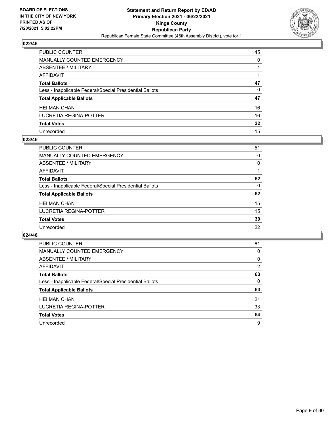

| PUBLIC COUNTER                                           | 45              |
|----------------------------------------------------------|-----------------|
| <b>MANUALLY COUNTED EMERGENCY</b>                        | 0               |
| <b>ABSENTEE / MILITARY</b>                               |                 |
| <b>AFFIDAVIT</b>                                         |                 |
| <b>Total Ballots</b>                                     | 47              |
| Less - Inapplicable Federal/Special Presidential Ballots | 0               |
| <b>Total Applicable Ballots</b>                          | 47              |
| <b>HEI MAN CHAN</b>                                      | 16              |
| LUCRETIA REGINA-POTTER                                   | 16              |
| <b>Total Votes</b>                                       | $32\phantom{a}$ |
| Unrecorded                                               | 15              |

#### **023/46**

| <b>PUBLIC COUNTER</b>                                    | 51       |
|----------------------------------------------------------|----------|
| <b>MANUALLY COUNTED EMERGENCY</b>                        | 0        |
| ABSENTEE / MILITARY                                      | 0        |
| AFFIDAVIT                                                |          |
| <b>Total Ballots</b>                                     | 52       |
| Less - Inapplicable Federal/Special Presidential Ballots | $\Omega$ |
| <b>Total Applicable Ballots</b>                          | 52       |
| <b>HEI MAN CHAN</b>                                      | 15       |
| LUCRETIA REGINA-POTTER                                   | 15       |
| <b>Total Votes</b>                                       | 30       |
| Unrecorded                                               | 22       |

| PUBLIC COUNTER                                           | 61             |
|----------------------------------------------------------|----------------|
| <b>MANUALLY COUNTED EMERGENCY</b>                        | 0              |
| ABSENTEE / MILITARY                                      | $\Omega$       |
| <b>AFFIDAVIT</b>                                         | $\overline{2}$ |
| <b>Total Ballots</b>                                     | 63             |
| Less - Inapplicable Federal/Special Presidential Ballots | 0              |
| <b>Total Applicable Ballots</b>                          | 63             |
| <b>HEI MAN CHAN</b>                                      | 21             |
| LUCRETIA REGINA-POTTER                                   | 33             |
| <b>Total Votes</b>                                       | 54             |
| Unrecorded                                               | 9              |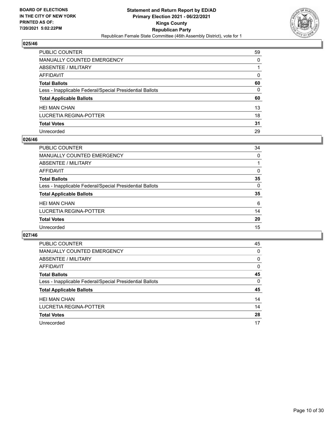

| PUBLIC COUNTER                                           | 59           |
|----------------------------------------------------------|--------------|
| <b>MANUALLY COUNTED EMERGENCY</b>                        | $\Omega$     |
| ABSENTEE / MILITARY                                      |              |
| <b>AFFIDAVIT</b>                                         | 0            |
| <b>Total Ballots</b>                                     | 60           |
| Less - Inapplicable Federal/Special Presidential Ballots | $\mathbf{0}$ |
| <b>Total Applicable Ballots</b>                          | 60           |
| <b>HEI MAN CHAN</b>                                      | 13           |
| <b>LUCRETIA REGINA-POTTER</b>                            | 18           |
| <b>Total Votes</b>                                       | 31           |
| Unrecorded                                               | 29           |

#### **026/46**

| <b>PUBLIC COUNTER</b>                                    | 34       |
|----------------------------------------------------------|----------|
| <b>MANUALLY COUNTED EMERGENCY</b>                        | 0        |
| ABSENTEE / MILITARY                                      |          |
| AFFIDAVIT                                                | $\Omega$ |
| <b>Total Ballots</b>                                     | 35       |
| Less - Inapplicable Federal/Special Presidential Ballots | $\Omega$ |
| <b>Total Applicable Ballots</b>                          | 35       |
| <b>HEI MAN CHAN</b>                                      | 6        |
| LUCRETIA REGINA-POTTER                                   | 14       |
| <b>Total Votes</b>                                       | 20       |
| Unrecorded                                               | 15       |

| PUBLIC COUNTER                                           | 45 |
|----------------------------------------------------------|----|
| <b>MANUALLY COUNTED EMERGENCY</b>                        | 0  |
| ABSENTEE / MILITARY                                      | 0  |
| <b>AFFIDAVIT</b>                                         | 0  |
| <b>Total Ballots</b>                                     | 45 |
| Less - Inapplicable Federal/Special Presidential Ballots | 0  |
| <b>Total Applicable Ballots</b>                          | 45 |
| <b>HEI MAN CHAN</b>                                      | 14 |
| LUCRETIA REGINA-POTTER                                   | 14 |
| <b>Total Votes</b>                                       | 28 |
| Unrecorded                                               | 17 |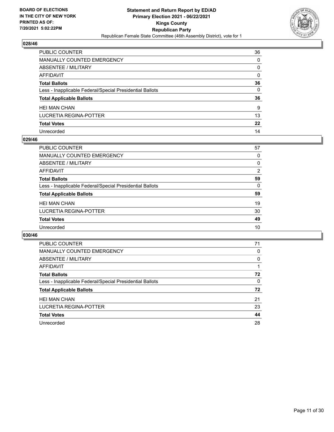

| PUBLIC COUNTER                                           | 36 |
|----------------------------------------------------------|----|
| <b>MANUALLY COUNTED EMERGENCY</b>                        | 0  |
| <b>ABSENTEE / MILITARY</b>                               | 0  |
| <b>AFFIDAVIT</b>                                         | 0  |
| <b>Total Ballots</b>                                     | 36 |
| Less - Inapplicable Federal/Special Presidential Ballots | 0  |
| <b>Total Applicable Ballots</b>                          | 36 |
| <b>HEI MAN CHAN</b>                                      | 9  |
| LUCRETIA REGINA-POTTER                                   | 13 |
| <b>Total Votes</b>                                       | 22 |
| Unrecorded                                               | 14 |

#### **029/46**

| <b>PUBLIC COUNTER</b>                                    | 57             |
|----------------------------------------------------------|----------------|
| <b>MANUALLY COUNTED EMERGENCY</b>                        | 0              |
| ABSENTEE / MILITARY                                      | 0              |
| AFFIDAVIT                                                | $\overline{2}$ |
| <b>Total Ballots</b>                                     | 59             |
| Less - Inapplicable Federal/Special Presidential Ballots | $\Omega$       |
| <b>Total Applicable Ballots</b>                          | 59             |
| <b>HEI MAN CHAN</b>                                      | 19             |
| LUCRETIA REGINA-POTTER                                   | 30             |
| <b>Total Votes</b>                                       | 49             |
| Unrecorded                                               | 10             |

| PUBLIC COUNTER                                           | 71       |
|----------------------------------------------------------|----------|
| <b>MANUALLY COUNTED EMERGENCY</b>                        | 0        |
| ABSENTEE / MILITARY                                      | 0        |
| AFFIDAVIT                                                |          |
| <b>Total Ballots</b>                                     | 72       |
| Less - Inapplicable Federal/Special Presidential Ballots | $\Omega$ |
| <b>Total Applicable Ballots</b>                          | 72       |
| <b>HEI MAN CHAN</b>                                      | 21       |
| LUCRETIA REGINA-POTTER                                   | 23       |
| <b>Total Votes</b>                                       | 44       |
| Unrecorded                                               | 28       |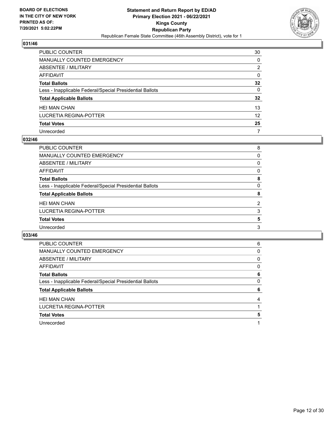

| PUBLIC COUNTER                                           | 30                |
|----------------------------------------------------------|-------------------|
| <b>MANUALLY COUNTED EMERGENCY</b>                        | $\Omega$          |
| <b>ABSENTEE / MILITARY</b>                               | 2                 |
| <b>AFFIDAVIT</b>                                         | $\Omega$          |
| <b>Total Ballots</b>                                     | 32                |
| Less - Inapplicable Federal/Special Presidential Ballots | 0                 |
| <b>Total Applicable Ballots</b>                          | 32                |
| <b>HEI MAN CHAN</b>                                      | 13                |
| LUCRETIA REGINA-POTTER                                   | $12 \overline{ }$ |
| <b>Total Votes</b>                                       | 25                |
| Unrecorded                                               | 7                 |

#### **032/46**

| PUBLIC COUNTER                                           | 8              |
|----------------------------------------------------------|----------------|
| MANUALLY COUNTED EMERGENCY                               | 0              |
| ABSENTEE / MILITARY                                      | 0              |
| AFFIDAVIT                                                | 0              |
| <b>Total Ballots</b>                                     | 8              |
| Less - Inapplicable Federal/Special Presidential Ballots | $\Omega$       |
| <b>Total Applicable Ballots</b>                          | 8              |
| <b>HEI MAN CHAN</b>                                      | $\overline{2}$ |
| LUCRETIA REGINA-POTTER                                   | 3              |
| <b>Total Votes</b>                                       | 5              |
| Unrecorded                                               | 3              |

| <b>PUBLIC COUNTER</b>                                    | 6 |
|----------------------------------------------------------|---|
| MANUALLY COUNTED EMERGENCY                               | 0 |
| ABSENTEE / MILITARY                                      | 0 |
| AFFIDAVIT                                                | 0 |
| <b>Total Ballots</b>                                     | 6 |
| Less - Inapplicable Federal/Special Presidential Ballots | 0 |
| <b>Total Applicable Ballots</b>                          | 6 |
|                                                          |   |
| <b>HEI MAN CHAN</b>                                      | 4 |
| LUCRETIA REGINA-POTTER                                   |   |
| <b>Total Votes</b>                                       | 5 |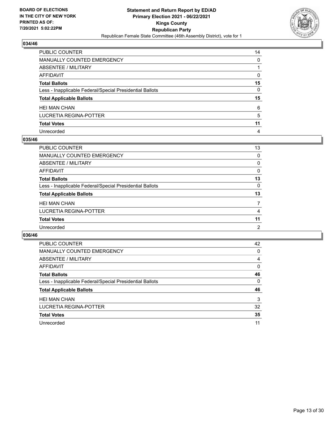

| PUBLIC COUNTER                                           | 14 |
|----------------------------------------------------------|----|
| <b>MANUALLY COUNTED EMERGENCY</b>                        | 0  |
| <b>ABSENTEE / MILITARY</b>                               |    |
| <b>AFFIDAVIT</b>                                         | 0  |
| <b>Total Ballots</b>                                     | 15 |
| Less - Inapplicable Federal/Special Presidential Ballots | 0  |
| <b>Total Applicable Ballots</b>                          | 15 |
| <b>HEI MAN CHAN</b>                                      | 6  |
| LUCRETIA REGINA-POTTER                                   | 5  |
| <b>Total Votes</b>                                       | 11 |
| Unrecorded                                               | 4  |

#### **035/46**

| <b>PUBLIC COUNTER</b>                                    | 13             |
|----------------------------------------------------------|----------------|
| <b>MANUALLY COUNTED EMERGENCY</b>                        | 0              |
| ABSENTEE / MILITARY                                      | $\Omega$       |
| AFFIDAVIT                                                | $\Omega$       |
| <b>Total Ballots</b>                                     | 13             |
| Less - Inapplicable Federal/Special Presidential Ballots | 0              |
| <b>Total Applicable Ballots</b>                          | 13             |
| <b>HEI MAN CHAN</b>                                      |                |
| LUCRETIA REGINA-POTTER                                   | 4              |
| <b>Total Votes</b>                                       | 11             |
| Unrecorded                                               | $\overline{2}$ |

| PUBLIC COUNTER                                           | 42       |
|----------------------------------------------------------|----------|
| <b>MANUALLY COUNTED EMERGENCY</b>                        | 0        |
| ABSENTEE / MILITARY                                      | 4        |
| <b>AFFIDAVIT</b>                                         | 0        |
| <b>Total Ballots</b>                                     | 46       |
| Less - Inapplicable Federal/Special Presidential Ballots | $\Omega$ |
| <b>Total Applicable Ballots</b>                          | 46       |
| <b>HEI MAN CHAN</b>                                      | 3        |
| LUCRETIA REGINA-POTTER                                   | 32       |
| <b>Total Votes</b>                                       | 35       |
| Unrecorded                                               | 11       |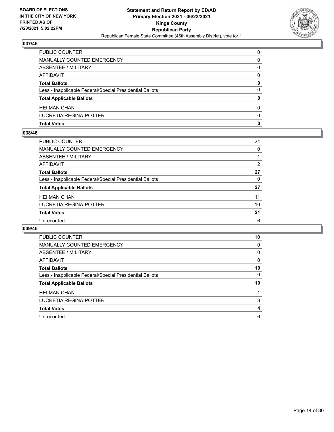

| <b>Total Votes</b>                                       | 0        |
|----------------------------------------------------------|----------|
| LUCRETIA REGINA-POTTER                                   | $\Omega$ |
| <b>HEI MAN CHAN</b>                                      | 0        |
| <b>Total Applicable Ballots</b>                          | 0        |
| Less - Inapplicable Federal/Special Presidential Ballots | 0        |
| <b>Total Ballots</b>                                     | 0        |
| AFFIDAVIT                                                | 0        |
| ABSENTEE / MILITARY                                      | 0        |
| <b>MANUALLY COUNTED EMERGENCY</b>                        | 0        |
| PUBLIC COUNTER                                           | $\Omega$ |

#### **038/46**

| PUBLIC COUNTER                                           | 24            |
|----------------------------------------------------------|---------------|
| MANUALLY COUNTED EMERGENCY                               | $\Omega$      |
| ABSENTEE / MILITARY                                      |               |
| AFFIDAVIT                                                | $\mathcal{P}$ |
| <b>Total Ballots</b>                                     | 27            |
| Less - Inapplicable Federal/Special Presidential Ballots | 0             |
| <b>Total Applicable Ballots</b>                          | 27            |
| <b>HEI MAN CHAN</b>                                      | 11            |
| LUCRETIA REGINA-POTTER                                   | 10            |
| <b>Total Votes</b>                                       | 21            |
| Unrecorded                                               | 6             |
|                                                          |               |

| <b>PUBLIC COUNTER</b>                                    | 10       |
|----------------------------------------------------------|----------|
| <b>MANUALLY COUNTED EMERGENCY</b>                        | 0        |
| ABSENTEE / MILITARY                                      | 0        |
| AFFIDAVIT                                                | $\Omega$ |
| <b>Total Ballots</b>                                     | 10       |
| Less - Inapplicable Federal/Special Presidential Ballots | 0        |
| <b>Total Applicable Ballots</b>                          | 10       |
| <b>HEI MAN CHAN</b>                                      |          |
| LUCRETIA REGINA-POTTER                                   | 3        |
| <b>Total Votes</b>                                       | 4        |
| Unrecorded                                               | 6        |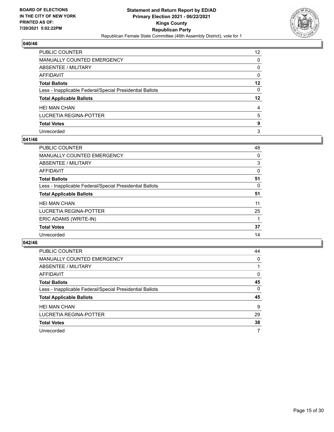

| PUBLIC COUNTER                                           | 12 <sup>2</sup> |
|----------------------------------------------------------|-----------------|
| <b>MANUALLY COUNTED EMERGENCY</b>                        | 0               |
| <b>ABSENTEE / MILITARY</b>                               | 0               |
| <b>AFFIDAVIT</b>                                         | $\Omega$        |
| <b>Total Ballots</b>                                     | 12              |
| Less - Inapplicable Federal/Special Presidential Ballots | $\Omega$        |
| <b>Total Applicable Ballots</b>                          | 12              |
| <b>HEI MAN CHAN</b>                                      | 4               |
| LUCRETIA REGINA-POTTER                                   | 5               |
| <b>Total Votes</b>                                       | 9               |
| Unrecorded                                               | 3               |

#### **041/46**

| <b>PUBLIC COUNTER</b>                                    | 48 |
|----------------------------------------------------------|----|
| <b>MANUALLY COUNTED EMERGENCY</b>                        | 0  |
| ABSENTEE / MILITARY                                      | 3  |
| AFFIDAVIT                                                | 0  |
| <b>Total Ballots</b>                                     | 51 |
| Less - Inapplicable Federal/Special Presidential Ballots | 0  |
| <b>Total Applicable Ballots</b>                          | 51 |
| <b>HEI MAN CHAN</b>                                      | 11 |
| LUCRETIA REGINA-POTTER                                   | 25 |
| ERIC ADAMS (WRITE-IN)                                    |    |
| <b>Total Votes</b>                                       | 37 |
| Unrecorded                                               | 14 |

| PUBLIC COUNTER                                           | 44       |
|----------------------------------------------------------|----------|
| MANUALLY COUNTED EMERGENCY                               | 0        |
| ABSENTEE / MILITARY                                      |          |
| AFFIDAVIT                                                | $\Omega$ |
| <b>Total Ballots</b>                                     | 45       |
| Less - Inapplicable Federal/Special Presidential Ballots | $\Omega$ |
| <b>Total Applicable Ballots</b>                          | 45       |
| <b>HEI MAN CHAN</b>                                      | 9        |
| LUCRETIA REGINA-POTTER                                   | 29       |
| <b>Total Votes</b>                                       | 38       |
| Unrecorded                                               | 7        |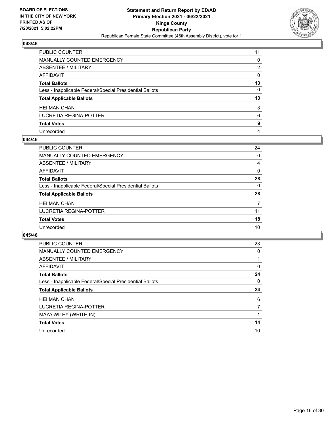

| PUBLIC COUNTER                                           | 11           |
|----------------------------------------------------------|--------------|
| MANUALLY COUNTED EMERGENCY                               | 0            |
| <b>ABSENTEE / MILITARY</b>                               | 2            |
| <b>AFFIDAVIT</b>                                         | $\mathbf{0}$ |
| <b>Total Ballots</b>                                     | 13           |
| Less - Inapplicable Federal/Special Presidential Ballots | 0            |
| <b>Total Applicable Ballots</b>                          | 13           |
| <b>HEI MAN CHAN</b>                                      | 3            |
| <b>LUCRETIA REGINA-POTTER</b>                            | 6            |
| <b>Total Votes</b>                                       | 9            |
| Unrecorded                                               | 4            |

#### **044/46**

| <b>PUBLIC COUNTER</b>                                    | 24       |
|----------------------------------------------------------|----------|
| <b>MANUALLY COUNTED EMERGENCY</b>                        | 0        |
| ABSENTEE / MILITARY                                      | 4        |
| AFFIDAVIT                                                | $\Omega$ |
| <b>Total Ballots</b>                                     | 28       |
| Less - Inapplicable Federal/Special Presidential Ballots | $\Omega$ |
| <b>Total Applicable Ballots</b>                          | 28       |
| <b>HEI MAN CHAN</b>                                      | 7        |
| LUCRETIA REGINA-POTTER                                   | 11       |
| <b>Total Votes</b>                                       | 18       |
| Unrecorded                                               | 10       |
|                                                          |          |

| <b>PUBLIC COUNTER</b>                                    | 23       |
|----------------------------------------------------------|----------|
| <b>MANUALLY COUNTED EMERGENCY</b>                        | 0        |
| ABSENTEE / MILITARY                                      |          |
| AFFIDAVIT                                                | $\Omega$ |
| <b>Total Ballots</b>                                     | 24       |
| Less - Inapplicable Federal/Special Presidential Ballots | 0        |
|                                                          |          |
| <b>Total Applicable Ballots</b>                          | 24       |
| <b>HEI MAN CHAN</b>                                      | 6        |
| LUCRETIA REGINA-POTTER                                   | 7        |
| MAYA WILEY (WRITE-IN)                                    |          |
| <b>Total Votes</b>                                       | 14       |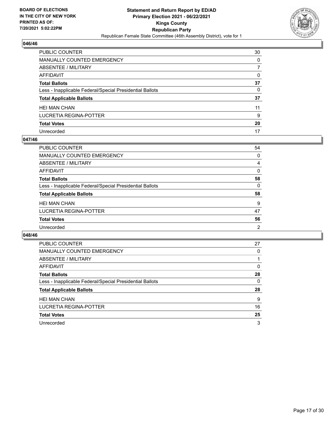

| PUBLIC COUNTER                                           | 30       |
|----------------------------------------------------------|----------|
| <b>MANUALLY COUNTED EMERGENCY</b>                        | 0        |
| <b>ABSENTEE / MILITARY</b>                               |          |
| <b>AFFIDAVIT</b>                                         | $\Omega$ |
| <b>Total Ballots</b>                                     | 37       |
| Less - Inapplicable Federal/Special Presidential Ballots | 0        |
| <b>Total Applicable Ballots</b>                          | 37       |
| <b>HEI MAN CHAN</b>                                      | 11       |
| LUCRETIA REGINA-POTTER                                   | 9        |
| <b>Total Votes</b>                                       | 20       |
| Unrecorded                                               | 17       |

#### **047/46**

| <b>PUBLIC COUNTER</b>                                    | 54             |
|----------------------------------------------------------|----------------|
| <b>MANUALLY COUNTED EMERGENCY</b>                        | $\Omega$       |
| <b>ABSENTEE / MILITARY</b>                               | 4              |
| AFFIDAVIT                                                | $\Omega$       |
| <b>Total Ballots</b>                                     | 58             |
| Less - Inapplicable Federal/Special Presidential Ballots | 0              |
| <b>Total Applicable Ballots</b>                          | 58             |
| <b>HEI MAN CHAN</b>                                      | 9              |
| <b>LUCRETIA REGINA-POTTER</b>                            | 47             |
| <b>Total Votes</b>                                       | 56             |
| Unrecorded                                               | $\overline{2}$ |

| <b>PUBLIC COUNTER</b>                                    | 27 |
|----------------------------------------------------------|----|
| MANUALLY COUNTED EMERGENCY                               | 0  |
| ABSENTEE / MILITARY                                      |    |
| AFFIDAVIT                                                | 0  |
| <b>Total Ballots</b>                                     | 28 |
| Less - Inapplicable Federal/Special Presidential Ballots | 0  |
| <b>Total Applicable Ballots</b>                          | 28 |
| <b>HEI MAN CHAN</b>                                      | 9  |
| LUCRETIA REGINA-POTTER                                   | 16 |
| <b>Total Votes</b>                                       | 25 |
| Unrecorded                                               | 3  |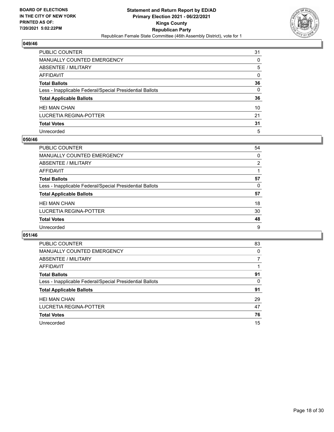

| PUBLIC COUNTER                                           | 31           |
|----------------------------------------------------------|--------------|
| MANUALLY COUNTED EMERGENCY                               | $\Omega$     |
| <b>ABSENTEE / MILITARY</b>                               | 5            |
| <b>AFFIDAVIT</b>                                         | $\mathbf{0}$ |
| <b>Total Ballots</b>                                     | 36           |
| Less - Inapplicable Federal/Special Presidential Ballots | 0            |
| <b>Total Applicable Ballots</b>                          | 36           |
| <b>HEI MAN CHAN</b>                                      | 10           |
| LUCRETIA REGINA-POTTER                                   | 21           |
| <b>Total Votes</b>                                       | 31           |
| Unrecorded                                               | 5            |

#### **050/46**

| <b>PUBLIC COUNTER</b>                                    | 54 |
|----------------------------------------------------------|----|
| <b>MANUALLY COUNTED EMERGENCY</b>                        | 0  |
| ABSENTEE / MILITARY                                      | 2  |
| AFFIDAVIT                                                |    |
| <b>Total Ballots</b>                                     | 57 |
| Less - Inapplicable Federal/Special Presidential Ballots | 0  |
| <b>Total Applicable Ballots</b>                          | 57 |
| <b>HEI MAN CHAN</b>                                      | 18 |
| LUCRETIA REGINA-POTTER                                   | 30 |
| <b>Total Votes</b>                                       | 48 |
| Unrecorded                                               | 9  |

| PUBLIC COUNTER                                           | 83       |
|----------------------------------------------------------|----------|
| <b>MANUALLY COUNTED EMERGENCY</b>                        | 0        |
| ABSENTEE / MILITARY                                      |          |
| AFFIDAVIT                                                |          |
| <b>Total Ballots</b>                                     | 91       |
| Less - Inapplicable Federal/Special Presidential Ballots | $\Omega$ |
| <b>Total Applicable Ballots</b>                          | 91       |
| <b>HEI MAN CHAN</b>                                      | 29       |
| LUCRETIA REGINA-POTTER                                   | 47       |
| <b>Total Votes</b>                                       | 76       |
| Unrecorded                                               | 15       |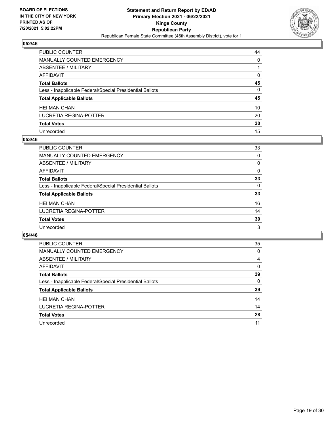

| PUBLIC COUNTER                                           | 44       |
|----------------------------------------------------------|----------|
| <b>MANUALLY COUNTED EMERGENCY</b>                        | 0        |
| <b>ABSENTEE / MILITARY</b>                               |          |
| <b>AFFIDAVIT</b>                                         | $\Omega$ |
| <b>Total Ballots</b>                                     | 45       |
| Less - Inapplicable Federal/Special Presidential Ballots | 0        |
| <b>Total Applicable Ballots</b>                          | 45       |
| <b>HEI MAN CHAN</b>                                      | 10       |
| LUCRETIA REGINA-POTTER                                   | 20       |
| <b>Total Votes</b>                                       | 30       |
| Unrecorded                                               | 15       |

#### **053/46**

| <b>PUBLIC COUNTER</b>                                    | 33       |
|----------------------------------------------------------|----------|
| <b>MANUALLY COUNTED EMERGENCY</b>                        | $\Omega$ |
| ABSENTEE / MILITARY                                      | 0        |
| AFFIDAVIT                                                | $\Omega$ |
| <b>Total Ballots</b>                                     | 33       |
| Less - Inapplicable Federal/Special Presidential Ballots | 0        |
| <b>Total Applicable Ballots</b>                          | 33       |
| <b>HEI MAN CHAN</b>                                      | 16       |
| LUCRETIA REGINA-POTTER                                   | 14       |
| <b>Total Votes</b>                                       | 30       |
| Unrecorded                                               | 3        |

| PUBLIC COUNTER                                           | 35       |
|----------------------------------------------------------|----------|
| <b>MANUALLY COUNTED EMERGENCY</b>                        | 0        |
| ABSENTEE / MILITARY                                      | 4        |
| <b>AFFIDAVIT</b>                                         | $\Omega$ |
| <b>Total Ballots</b>                                     | 39       |
| Less - Inapplicable Federal/Special Presidential Ballots | $\Omega$ |
| <b>Total Applicable Ballots</b>                          | 39       |
| <b>HEI MAN CHAN</b>                                      | 14       |
| LUCRETIA REGINA-POTTER                                   | 14       |
|                                                          |          |
| <b>Total Votes</b>                                       | 28       |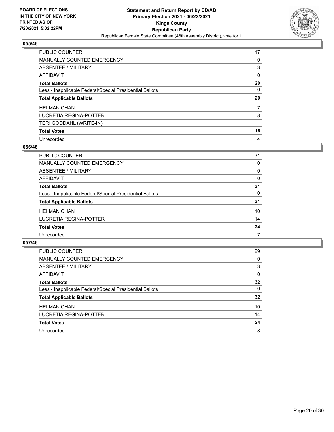

| <b>PUBLIC COUNTER</b>                                    | 17 |
|----------------------------------------------------------|----|
| MANUALLY COUNTED EMERGENCY                               | 0  |
| ABSENTEE / MILITARY                                      | 3  |
| AFFIDAVIT                                                | 0  |
| <b>Total Ballots</b>                                     | 20 |
| Less - Inapplicable Federal/Special Presidential Ballots | 0  |
| <b>Total Applicable Ballots</b>                          | 20 |
| <b>HEI MAN CHAN</b>                                      | 7  |
| LUCRETIA REGINA-POTTER                                   | 8  |
|                                                          |    |
| TERI GODDAHL (WRITE-IN)                                  |    |
| <b>Total Votes</b>                                       | 16 |

#### **056/46**

| PUBLIC COUNTER                                           | 31       |
|----------------------------------------------------------|----------|
| <b>MANUALLY COUNTED EMERGENCY</b>                        | $\Omega$ |
| ABSENTEE / MILITARY                                      | 0        |
| AFFIDAVIT                                                | 0        |
| <b>Total Ballots</b>                                     | 31       |
| Less - Inapplicable Federal/Special Presidential Ballots | 0        |
| <b>Total Applicable Ballots</b>                          | 31       |
| <b>HEI MAN CHAN</b>                                      | 10       |
| LUCRETIA REGINA-POTTER                                   | 14       |
| <b>Total Votes</b>                                       | 24       |
| Unrecorded                                               | 7        |

| <b>PUBLIC COUNTER</b>                                    | 29       |
|----------------------------------------------------------|----------|
| MANUALLY COUNTED EMERGENCY                               | 0        |
| ABSENTEE / MILITARY                                      | 3        |
| AFFIDAVIT                                                | $\Omega$ |
| <b>Total Ballots</b>                                     | 32       |
| Less - Inapplicable Federal/Special Presidential Ballots | $\Omega$ |
| <b>Total Applicable Ballots</b>                          | 32       |
| <b>HEI MAN CHAN</b>                                      | 10       |
| <b>LUCRETIA REGINA-POTTER</b>                            | 14       |
| <b>Total Votes</b>                                       | 24       |
| Unrecorded                                               | 8        |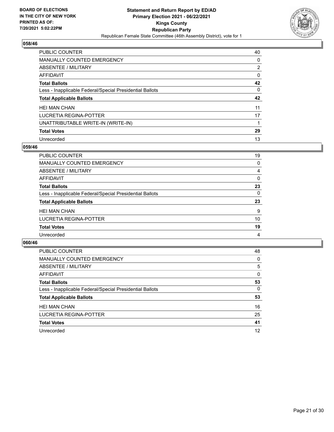

| <b>PUBLIC COUNTER</b>                                    | 40 |
|----------------------------------------------------------|----|
| MANUALLY COUNTED EMERGENCY                               | 0  |
| ABSENTEE / MILITARY                                      | 2  |
| AFFIDAVIT                                                | 0  |
| <b>Total Ballots</b>                                     | 42 |
| Less - Inapplicable Federal/Special Presidential Ballots | 0  |
| <b>Total Applicable Ballots</b>                          | 42 |
| <b>HEI MAN CHAN</b>                                      | 11 |
| LUCRETIA REGINA-POTTER                                   | 17 |
| UNATTRIBUTABLE WRITE-IN (WRITE-IN)                       | 1  |
| <b>Total Votes</b>                                       | 29 |
| Unrecorded                                               | 13 |

#### **059/46**

| PUBLIC COUNTER                                           | 19       |
|----------------------------------------------------------|----------|
| <b>MANUALLY COUNTED EMERGENCY</b>                        | 0        |
| <b>ABSENTEE / MILITARY</b>                               | 4        |
| AFFIDAVIT                                                | $\Omega$ |
| <b>Total Ballots</b>                                     | 23       |
| Less - Inapplicable Federal/Special Presidential Ballots | $\Omega$ |
| <b>Total Applicable Ballots</b>                          | 23       |
| <b>HEI MAN CHAN</b>                                      | 9        |
| LUCRETIA REGINA-POTTER                                   | 10       |
| <b>Total Votes</b>                                       | 19       |
| Unrecorded                                               | 4        |

| <b>PUBLIC COUNTER</b>                                    | 48       |
|----------------------------------------------------------|----------|
| MANUALLY COUNTED EMERGENCY                               | $\Omega$ |
| ABSENTEE / MILITARY                                      | 5        |
| AFFIDAVIT                                                | $\Omega$ |
| <b>Total Ballots</b>                                     | 53       |
| Less - Inapplicable Federal/Special Presidential Ballots | $\Omega$ |
| <b>Total Applicable Ballots</b>                          | 53       |
| <b>HEI MAN CHAN</b>                                      | 16       |
| LUCRETIA REGINA-POTTER                                   | 25       |
| <b>Total Votes</b>                                       | 41       |
| Unrecorded                                               | 12       |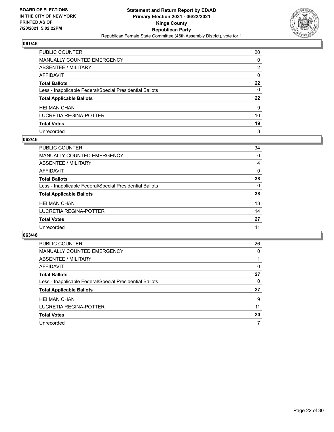

| PUBLIC COUNTER                                           | 20       |
|----------------------------------------------------------|----------|
| <b>MANUALLY COUNTED EMERGENCY</b>                        | 0        |
| <b>ABSENTEE / MILITARY</b>                               | 2        |
| <b>AFFIDAVIT</b>                                         | $\Omega$ |
| <b>Total Ballots</b>                                     | 22       |
| Less - Inapplicable Federal/Special Presidential Ballots | 0        |
| <b>Total Applicable Ballots</b>                          | 22       |
| <b>HEI MAN CHAN</b>                                      | 9        |
| LUCRETIA REGINA-POTTER                                   | 10       |
| <b>Total Votes</b>                                       | 19       |
| Unrecorded                                               | 3        |

#### **062/46**

| <b>PUBLIC COUNTER</b>                                    | 34       |
|----------------------------------------------------------|----------|
| <b>MANUALLY COUNTED EMERGENCY</b>                        | 0        |
| ABSENTEE / MILITARY                                      | 4        |
| AFFIDAVIT                                                | $\Omega$ |
| <b>Total Ballots</b>                                     | 38       |
| Less - Inapplicable Federal/Special Presidential Ballots | $\Omega$ |
| <b>Total Applicable Ballots</b>                          | 38       |
| <b>HEI MAN CHAN</b>                                      | 13       |
| LUCRETIA REGINA-POTTER                                   | 14       |
| <b>Total Votes</b>                                       | 27       |
| Unrecorded                                               | 11       |
|                                                          |          |

| PUBLIC COUNTER                                           | 26       |
|----------------------------------------------------------|----------|
| <b>MANUALLY COUNTED EMERGENCY</b>                        | $\Omega$ |
| ABSENTEE / MILITARY                                      |          |
| <b>AFFIDAVIT</b>                                         | $\Omega$ |
| <b>Total Ballots</b>                                     | 27       |
| Less - Inapplicable Federal/Special Presidential Ballots | 0        |
| <b>Total Applicable Ballots</b>                          | 27       |
| <b>HEI MAN CHAN</b>                                      | 9        |
| LUCRETIA REGINA-POTTER                                   | 11       |
| <b>Total Votes</b>                                       | 20       |
| Unrecorded                                               |          |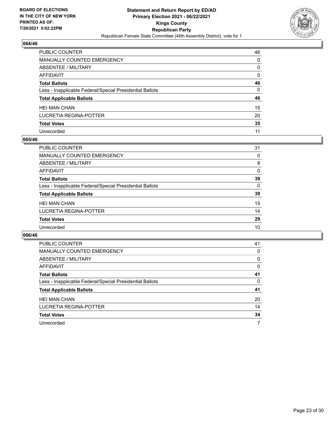

| PUBLIC COUNTER                                           | 46           |
|----------------------------------------------------------|--------------|
| <b>MANUALLY COUNTED EMERGENCY</b>                        | 0            |
| ABSENTEE / MILITARY                                      | 0            |
| AFFIDAVIT                                                | 0            |
| <b>Total Ballots</b>                                     | 46           |
| Less - Inapplicable Federal/Special Presidential Ballots | $\mathbf{0}$ |
| <b>Total Applicable Ballots</b>                          | 46           |
| <b>HEI MAN CHAN</b>                                      | 15           |
| LUCRETIA REGINA-POTTER                                   | 20           |
| <b>Total Votes</b>                                       | 35           |
| Unrecorded                                               | 11           |

#### **065/46**

| <b>PUBLIC COUNTER</b>                                    | 31       |
|----------------------------------------------------------|----------|
| <b>MANUALLY COUNTED EMERGENCY</b>                        | 0        |
| ABSENTEE / MILITARY                                      | 8        |
| AFFIDAVIT                                                | $\Omega$ |
| <b>Total Ballots</b>                                     | 39       |
| Less - Inapplicable Federal/Special Presidential Ballots | 0        |
| <b>Total Applicable Ballots</b>                          | 39       |
| <b>HEI MAN CHAN</b>                                      | 15       |
| LUCRETIA REGINA-POTTER                                   | 14       |
| <b>Total Votes</b>                                       | 29       |
| Unrecorded                                               | 10       |

| PUBLIC COUNTER                                           | 41       |
|----------------------------------------------------------|----------|
| MANUALLY COUNTED EMERGENCY                               | 0        |
| ABSENTEE / MILITARY                                      | $\Omega$ |
| AFFIDAVIT                                                | 0        |
| <b>Total Ballots</b>                                     | 41       |
| Less - Inapplicable Federal/Special Presidential Ballots | 0        |
| <b>Total Applicable Ballots</b>                          | 41       |
| <b>HEI MAN CHAN</b>                                      | 20       |
| <b>LUCRETIA REGINA-POTTER</b>                            | 14       |
| <b>Total Votes</b>                                       | 34       |
| Unrecorded                                               | 7        |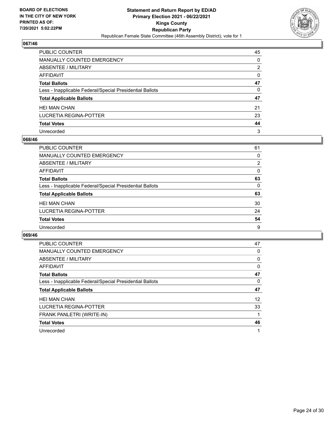

| PUBLIC COUNTER                                           | 45       |
|----------------------------------------------------------|----------|
| <b>MANUALLY COUNTED EMERGENCY</b>                        | $\Omega$ |
| <b>ABSENTEE / MILITARY</b>                               | 2        |
| <b>AFFIDAVIT</b>                                         | $\Omega$ |
| <b>Total Ballots</b>                                     | 47       |
| Less - Inapplicable Federal/Special Presidential Ballots | 0        |
| <b>Total Applicable Ballots</b>                          | 47       |
| <b>HEI MAN CHAN</b>                                      | 21       |
| LUCRETIA REGINA-POTTER                                   | 23       |
| <b>Total Votes</b>                                       | 44       |
| Unrecorded                                               | 3        |

#### **068/46**

| <b>PUBLIC COUNTER</b>                                    | 61       |
|----------------------------------------------------------|----------|
| <b>MANUALLY COUNTED EMERGENCY</b>                        | 0        |
| ABSENTEE / MILITARY                                      | 2        |
| AFFIDAVIT                                                | $\Omega$ |
| <b>Total Ballots</b>                                     | 63       |
| Less - Inapplicable Federal/Special Presidential Ballots | $\Omega$ |
| <b>Total Applicable Ballots</b>                          | 63       |
| <b>HEI MAN CHAN</b>                                      | 30       |
| LUCRETIA REGINA-POTTER                                   | 24       |
| <b>Total Votes</b>                                       | 54       |
| Unrecorded                                               | 9        |

| <b>PUBLIC COUNTER</b>                                    | 47 |
|----------------------------------------------------------|----|
| <b>MANUALLY COUNTED EMERGENCY</b>                        | 0  |
| ABSENTEE / MILITARY                                      | 0  |
| AFFIDAVIT                                                | 0  |
| <b>Total Ballots</b>                                     | 47 |
| Less - Inapplicable Federal/Special Presidential Ballots | 0  |
|                                                          |    |
| <b>Total Applicable Ballots</b>                          | 47 |
| <b>HEI MAN CHAN</b>                                      | 12 |
| LUCRETIA REGINA-POTTER                                   | 33 |
| FRANK PANLETRI (WRITE-IN)                                |    |
| <b>Total Votes</b>                                       | 46 |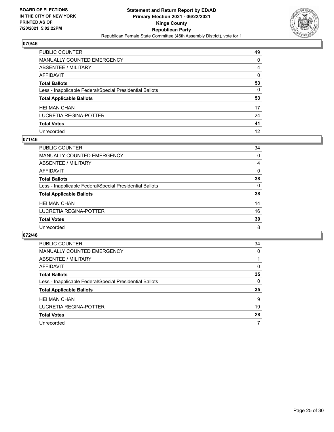

| PUBLIC COUNTER                                           | 49       |
|----------------------------------------------------------|----------|
| <b>MANUALLY COUNTED EMERGENCY</b>                        | 0        |
| <b>ABSENTEE / MILITARY</b>                               | 4        |
| <b>AFFIDAVIT</b>                                         | $\Omega$ |
| <b>Total Ballots</b>                                     | 53       |
| Less - Inapplicable Federal/Special Presidential Ballots | 0        |
| <b>Total Applicable Ballots</b>                          | 53       |
| <b>HEI MAN CHAN</b>                                      | 17       |
| LUCRETIA REGINA-POTTER                                   | 24       |
| <b>Total Votes</b>                                       | 41       |
| Unrecorded                                               | 12       |

#### **071/46**

| <b>PUBLIC COUNTER</b>                                    | 34       |
|----------------------------------------------------------|----------|
| <b>MANUALLY COUNTED EMERGENCY</b>                        | 0        |
| ABSENTEE / MILITARY                                      | 4        |
| AFFIDAVIT                                                | $\Omega$ |
| <b>Total Ballots</b>                                     | 38       |
| Less - Inapplicable Federal/Special Presidential Ballots | $\Omega$ |
| <b>Total Applicable Ballots</b>                          | 38       |
| <b>HEI MAN CHAN</b>                                      | 14       |
| LUCRETIA REGINA-POTTER                                   | 16       |
| <b>Total Votes</b>                                       | 30       |
| Unrecorded                                               | 8        |

| PUBLIC COUNTER                                           | 34       |
|----------------------------------------------------------|----------|
| <b>MANUALLY COUNTED EMERGENCY</b>                        | $\Omega$ |
| ABSENTEE / MILITARY                                      |          |
| <b>AFFIDAVIT</b>                                         | $\Omega$ |
| <b>Total Ballots</b>                                     | 35       |
| Less - Inapplicable Federal/Special Presidential Ballots | 0        |
| <b>Total Applicable Ballots</b>                          | 35       |
| <b>HEI MAN CHAN</b>                                      | 9        |
| LUCRETIA REGINA-POTTER                                   | 19       |
| <b>Total Votes</b>                                       | 28       |
| Unrecorded                                               | 7        |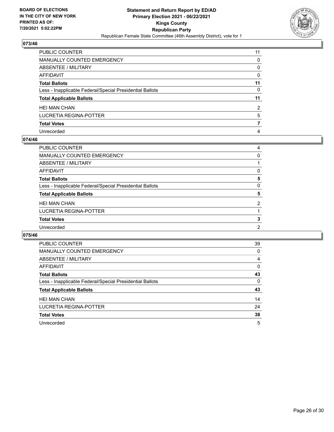

| PUBLIC COUNTER                                           | 11       |
|----------------------------------------------------------|----------|
| <b>MANUALLY COUNTED EMERGENCY</b>                        | 0        |
| <b>ABSENTEE / MILITARY</b>                               | $\Omega$ |
| <b>AFFIDAVIT</b>                                         | $\Omega$ |
| <b>Total Ballots</b>                                     | 11       |
| Less - Inapplicable Federal/Special Presidential Ballots | 0        |
| <b>Total Applicable Ballots</b>                          | 11       |
| <b>HEI MAN CHAN</b>                                      | 2        |
| LUCRETIA REGINA-POTTER                                   | 5        |
| <b>Total Votes</b>                                       |          |
| Unrecorded                                               | 4        |

#### **074/46**

| 4 |
|---|
| 0 |
|   |
| 0 |
| 5 |
| 0 |
| 5 |
| 2 |
|   |
| 3 |
| 2 |
|   |

| PUBLIC COUNTER                                           | 39       |
|----------------------------------------------------------|----------|
| <b>MANUALLY COUNTED EMERGENCY</b>                        | 0        |
| ABSENTEE / MILITARY                                      | 4        |
| <b>AFFIDAVIT</b>                                         | $\Omega$ |
| <b>Total Ballots</b>                                     | 43       |
| Less - Inapplicable Federal/Special Presidential Ballots | $\Omega$ |
| <b>Total Applicable Ballots</b>                          | 43       |
| <b>HEI MAN CHAN</b>                                      | 14       |
| <b>LUCRETIA REGINA-POTTER</b>                            | 24       |
|                                                          |          |
| <b>Total Votes</b>                                       | 38       |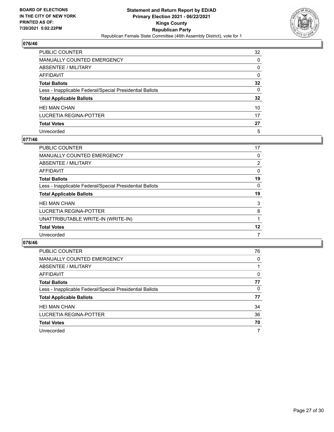

| PUBLIC COUNTER                                           | 32              |
|----------------------------------------------------------|-----------------|
| <b>MANUALLY COUNTED EMERGENCY</b>                        | $\Omega$        |
| ABSENTEE / MILITARY                                      | 0               |
| <b>AFFIDAVIT</b>                                         | $\Omega$        |
| <b>Total Ballots</b>                                     | $32\phantom{a}$ |
| Less - Inapplicable Federal/Special Presidential Ballots | $\mathbf{0}$    |
| <b>Total Applicable Ballots</b>                          | $32\phantom{a}$ |
| <b>HEI MAN CHAN</b>                                      | 10              |
| LUCRETIA REGINA-POTTER                                   | 17              |
| <b>Total Votes</b>                                       | 27              |
| Unrecorded                                               | 5               |

#### **077/46**

| <b>PUBLIC COUNTER</b>                                    | 17             |
|----------------------------------------------------------|----------------|
| <b>MANUALLY COUNTED EMERGENCY</b>                        | 0              |
| ABSENTEE / MILITARY                                      | $\overline{2}$ |
| AFFIDAVIT                                                | 0              |
| <b>Total Ballots</b>                                     | 19             |
| Less - Inapplicable Federal/Special Presidential Ballots | 0              |
| <b>Total Applicable Ballots</b>                          | 19             |
| <b>HEI MAN CHAN</b>                                      | 3              |
| LUCRETIA REGINA-POTTER                                   | 8              |
| UNATTRIBUTABLE WRITE-IN (WRITE-IN)                       |                |
| <b>Total Votes</b>                                       | 12             |
| Unrecorded                                               |                |

| <b>PUBLIC COUNTER</b>                                    | 76       |
|----------------------------------------------------------|----------|
| MANUALLY COUNTED EMERGENCY                               | $\Omega$ |
| ABSENTEE / MILITARY                                      |          |
| AFFIDAVIT                                                | 0        |
| <b>Total Ballots</b>                                     | 77       |
| Less - Inapplicable Federal/Special Presidential Ballots | $\Omega$ |
| <b>Total Applicable Ballots</b>                          | 77       |
| <b>HEI MAN CHAN</b>                                      | 34       |
| LUCRETIA REGINA-POTTER                                   | 36       |
| <b>Total Votes</b>                                       | 70       |
| Unrecorded                                               | 7        |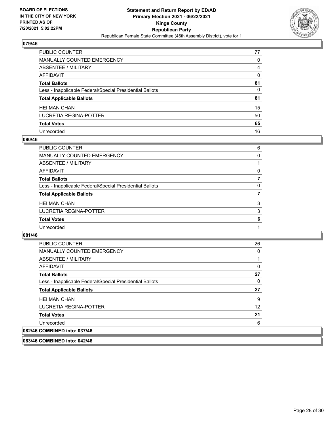

| PUBLIC COUNTER                                           | 77       |
|----------------------------------------------------------|----------|
| <b>MANUALLY COUNTED EMERGENCY</b>                        | 0        |
| ABSENTEE / MILITARY                                      | 4        |
| <b>AFFIDAVIT</b>                                         | $\Omega$ |
| <b>Total Ballots</b>                                     | 81       |
| Less - Inapplicable Federal/Special Presidential Ballots | 0        |
| <b>Total Applicable Ballots</b>                          | 81       |
| <b>HEI MAN CHAN</b>                                      | 15       |
| <b>LUCRETIA REGINA-POTTER</b>                            | 50       |
| <b>Total Votes</b>                                       | 65       |
| Unrecorded                                               | 16       |

#### **080/46**

| <b>PUBLIC COUNTER</b>                                    | 6 |
|----------------------------------------------------------|---|
| <b>MANUALLY COUNTED EMERGENCY</b>                        | 0 |
| ABSENTEE / MILITARY                                      |   |
| AFFIDAVIT                                                | 0 |
| <b>Total Ballots</b>                                     |   |
| Less - Inapplicable Federal/Special Presidential Ballots | 0 |
| <b>Total Applicable Ballots</b>                          |   |
| <b>HEI MAN CHAN</b>                                      | 3 |
| LUCRETIA REGINA-POTTER                                   | 3 |
| <b>Total Votes</b>                                       | 6 |
| Unrecorded                                               |   |

**081/46** 

| <b>PUBLIC COUNTER</b>                                    | 26 |
|----------------------------------------------------------|----|
| MANUALLY COUNTED EMERGENCY                               | 0  |
| ABSENTEE / MILITARY                                      | 1  |
| AFFIDAVIT                                                | 0  |
| <b>Total Ballots</b>                                     | 27 |
| Less - Inapplicable Federal/Special Presidential Ballots | 0  |
| <b>Total Applicable Ballots</b>                          | 27 |
| <b>HEI MAN CHAN</b>                                      | 9  |
| LUCRETIA REGINA-POTTER                                   | 12 |
| <b>Total Votes</b>                                       | 21 |
| Unrecorded                                               | 6  |
| 082/46 COMBINED into: 037/46                             |    |

**083/46 COMBINED into: 042/46**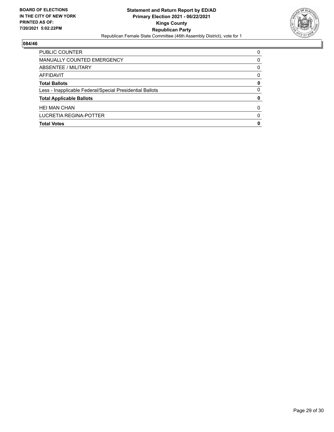

| PUBLIC COUNTER                                           | 0        |
|----------------------------------------------------------|----------|
| MANUALLY COUNTED EMERGENCY                               | 0        |
| ABSENTEE / MILITARY                                      | $\Omega$ |
| AFFIDAVIT                                                | 0        |
| <b>Total Ballots</b>                                     | 0        |
| Less - Inapplicable Federal/Special Presidential Ballots | 0        |
| <b>Total Applicable Ballots</b>                          | 0        |
| <b>HEI MAN CHAN</b>                                      | 0        |
| LUCRETIA REGINA-POTTER                                   | 0        |
| <b>Total Votes</b>                                       | 0        |